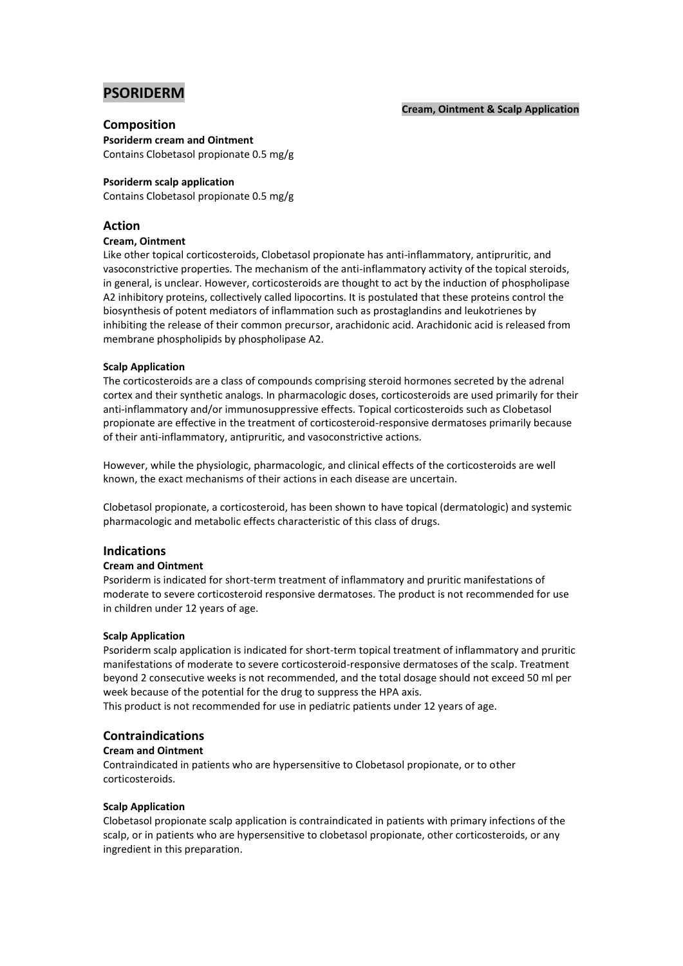## **PSORIDERM**

#### **Cream, Ointment & Scalp Application**

## **Composition**

**Psoriderm cream and Ointment** Contains Clobetasol propionate 0.5 mg/g

#### **Psoriderm scalp application**

Contains Clobetasol propionate 0.5 mg/g

#### **Action**

#### **Cream, Ointment**

Like other topical corticosteroids, Clobetasol propionate has anti-inflammatory, antipruritic, and vasoconstrictive properties. The mechanism of the anti-inflammatory activity of the topical steroids, in general, is unclear. However, corticosteroids are thought to act by the induction of phospholipase A2 inhibitory proteins, collectively called lipocortins. It is postulated that these proteins control the biosynthesis of potent mediators of inflammation such as prostaglandins and leukotrienes by inhibiting the release of their common precursor, arachidonic acid. Arachidonic acid is released from membrane phospholipids by phospholipase A2.

#### **Scalp Application**

The corticosteroids are a class of compounds comprising steroid hormones secreted by the adrenal cortex and their synthetic analogs. In pharmacologic doses, corticosteroids are used primarily for their anti-inflammatory and/or immunosuppressive effects. Topical corticosteroids such as Clobetasol propionate are effective in the treatment of corticosteroid-responsive dermatoses primarily because of their anti-inflammatory, antipruritic, and vasoconstrictive actions.

However, while the physiologic, pharmacologic, and clinical effects of the corticosteroids are well known, the exact mechanisms of their actions in each disease are uncertain.

Clobetasol propionate, a corticosteroid, has been shown to have topical (dermatologic) and systemic pharmacologic and metabolic effects characteristic of this class of drugs.

#### **Indications**

#### **Cream and Ointment**

Psoriderm is indicated for short-term treatment of inflammatory and pruritic manifestations of moderate to severe corticosteroid responsive dermatoses. The product is not recommended for use in children under 12 years of age.

#### **Scalp Application**

Psoriderm scalp application is indicated for short-term topical treatment of inflammatory and pruritic manifestations of moderate to severe corticosteroid-responsive dermatoses of the scalp. Treatment beyond 2 consecutive weeks is not recommended, and the total dosage should not exceed 50 ml per week because of the potential for the drug to suppress the HPA axis. This product is not recommended for use in pediatric patients under 12 years of age.

# **Contraindications**

#### **Cream and Ointment**

Contraindicated in patients who are hypersensitive to Clobetasol propionate, or to other corticosteroids.

#### **Scalp Application**

Clobetasol propionate scalp application is contraindicated in patients with primary infections of the scalp, or in patients who are hypersensitive to clobetasol propionate, other corticosteroids, or any ingredient in this preparation.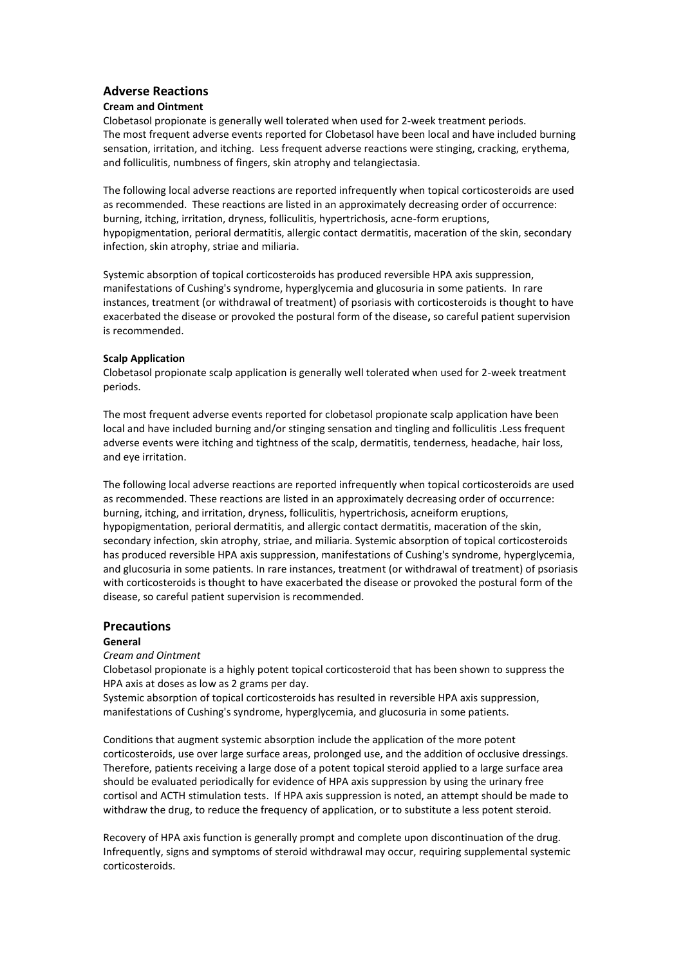## **Adverse Reactions**

#### **Cream and Ointment**

Clobetasol propionate is generally well tolerated when used for 2-week treatment periods. The most frequent adverse events reported for Clobetasol have been local and have included burning sensation, irritation, and itching. Less frequent adverse reactions were stinging, cracking, erythema, and folliculitis, numbness of fingers, skin atrophy and telangiectasia.

The following local adverse reactions are reported infrequently when topical corticosteroids are used as recommended. These reactions are listed in an approximately decreasing order of occurrence: burning, itching, irritation, dryness, folliculitis, hypertrichosis, acne-form eruptions, hypopigmentation, perioral dermatitis, allergic contact dermatitis, maceration of the skin, secondary infection, skin atrophy, striae and miliaria.

Systemic absorption of topical corticosteroids has produced reversible HPA axis suppression, manifestations of Cushing's syndrome, hyperglycemia and glucosuria in some patients. In rare instances, treatment (or withdrawal of treatment) of psoriasis with corticosteroids is thought to have exacerbated the disease or provoked the postural form of the disease**,** so careful patient supervision is recommended.

#### **Scalp Application**

Clobetasol propionate scalp application is generally well tolerated when used for 2-week treatment periods.

The most frequent adverse events reported for clobetasol propionate scalp application have been local and have included burning and/or stinging sensation and tingling and folliculitis .Less frequent adverse events were itching and tightness of the scalp, dermatitis, tenderness, headache, hair loss, and eye irritation.

The following local adverse reactions are reported infrequently when topical corticosteroids are used as recommended. These reactions are listed in an approximately decreasing order of occurrence: burning, itching, and irritation, dryness, folliculitis, hypertrichosis, acneiform eruptions, hypopigmentation, perioral dermatitis, and allergic contact dermatitis, maceration of the skin, secondary infection, skin atrophy, striae, and miliaria. Systemic absorption of topical corticosteroids has produced reversible HPA axis suppression, manifestations of Cushing's syndrome, hyperglycemia, and glucosuria in some patients. In rare instances, treatment (or withdrawal of treatment) of psoriasis with corticosteroids is thought to have exacerbated the disease or provoked the postural form of the disease, so careful patient supervision is recommended.

### **Precautions**

#### **General**

#### *Cream and Ointment*

Clobetasol propionate is a highly potent topical corticosteroid that has been shown to suppress the HPA axis at doses as low as 2 grams per day.

Systemic absorption of topical corticosteroids has resulted in reversible HPA axis suppression, manifestations of Cushing's syndrome, hyperglycemia, and glucosuria in some patients.

Conditions that augment systemic absorption include the application of the more potent corticosteroids, use over large surface areas, prolonged use, and the addition of occlusive dressings. Therefore, patients receiving a large dose of a potent topical steroid applied to a large surface area should be evaluated periodically for evidence of HPA axis suppression by using the urinary free cortisol and ACTH stimulation tests. If HPA axis suppression is noted, an attempt should be made to withdraw the drug, to reduce the frequency of application, or to substitute a less potent steroid.

Recovery of HPA axis function is generally prompt and complete upon discontinuation of the drug. Infrequently, signs and symptoms of steroid withdrawal may occur, requiring supplemental systemic corticosteroids.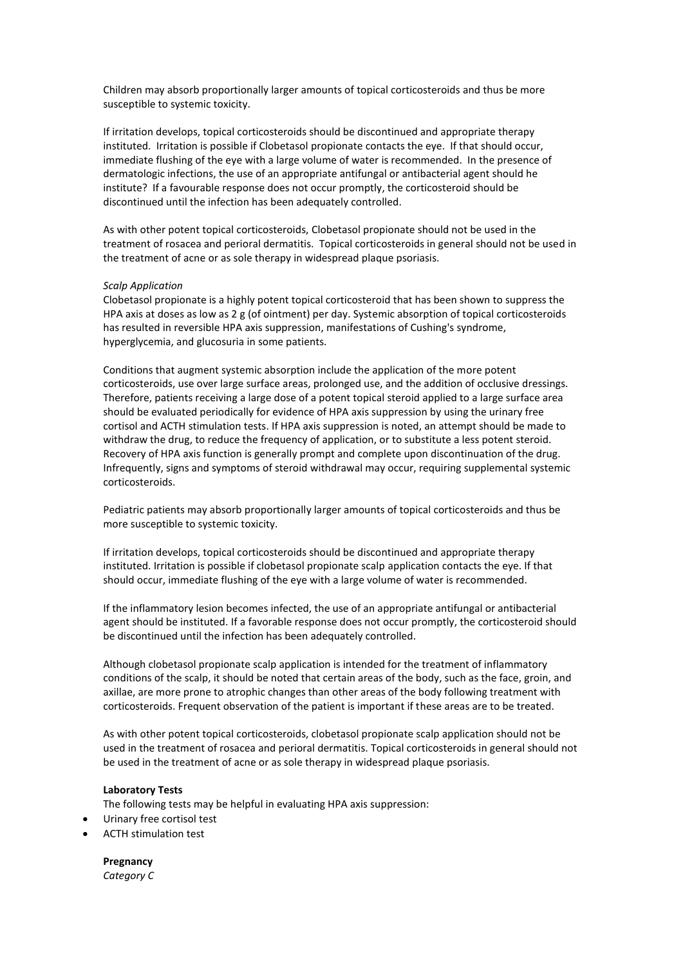Children may absorb proportionally larger amounts of topical corticosteroids and thus be more susceptible to systemic toxicity.

If irritation develops, topical corticosteroids should be discontinued and appropriate therapy instituted. Irritation is possible if Clobetasol propionate contacts the eye. If that should occur, immediate flushing of the eye with a large volume of water is recommended. In the presence of dermatologic infections, the use of an appropriate antifungal or antibacterial agent should he institute? If a favourable response does not occur promptly, the corticosteroid should be discontinued until the infection has been adequately controlled.

As with other potent topical corticosteroids, Clobetasol propionate should not be used in the treatment of rosacea and perioral dermatitis. Topical corticosteroids in general should not be used in the treatment of acne or as sole therapy in widespread plaque psoriasis.

#### *Scalp Application*

Clobetasol propionate is a highly potent topical corticosteroid that has been shown to suppress the HPA axis at doses as low as 2 g (of ointment) per day. Systemic absorption of topical corticosteroids has resulted in reversible HPA axis suppression, manifestations of Cushing's syndrome, hyperglycemia, and glucosuria in some patients.

Conditions that augment systemic absorption include the application of the more potent corticosteroids, use over large surface areas, prolonged use, and the addition of occlusive dressings. Therefore, patients receiving a large dose of a potent topical steroid applied to a large surface area should be evaluated periodically for evidence of HPA axis suppression by using the urinary free cortisol and ACTH stimulation tests. If HPA axis suppression is noted, an attempt should be made to withdraw the drug, to reduce the frequency of application, or to substitute a less potent steroid. Recovery of HPA axis function is generally prompt and complete upon discontinuation of the drug. Infrequently, signs and symptoms of steroid withdrawal may occur, requiring supplemental systemic corticosteroids.

Pediatric patients may absorb proportionally larger amounts of topical corticosteroids and thus be more susceptible to systemic toxicity.

If irritation develops, topical corticosteroids should be discontinued and appropriate therapy instituted. Irritation is possible if clobetasol propionate scalp application contacts the eye. If that should occur, immediate flushing of the eye with a large volume of water is recommended.

If the inflammatory lesion becomes infected, the use of an appropriate antifungal or antibacterial agent should be instituted. If a favorable response does not occur promptly, the corticosteroid should be discontinued until the infection has been adequately controlled.

Although clobetasol propionate scalp application is intended for the treatment of inflammatory conditions of the scalp, it should be noted that certain areas of the body, such as the face, groin, and axillae, are more prone to atrophic changes than other areas of the body following treatment with corticosteroids. Frequent observation of the patient is important if these areas are to be treated.

As with other potent topical corticosteroids, clobetasol propionate scalp application should not be used in the treatment of rosacea and perioral dermatitis. Topical corticosteroids in general should not be used in the treatment of acne or as sole therapy in widespread plaque psoriasis.

#### **Laboratory Tests**

The following tests may be helpful in evaluating HPA axis suppression:

- Urinary free cortisol test
- ACTH stimulation test

**Pregnancy** *Category C*